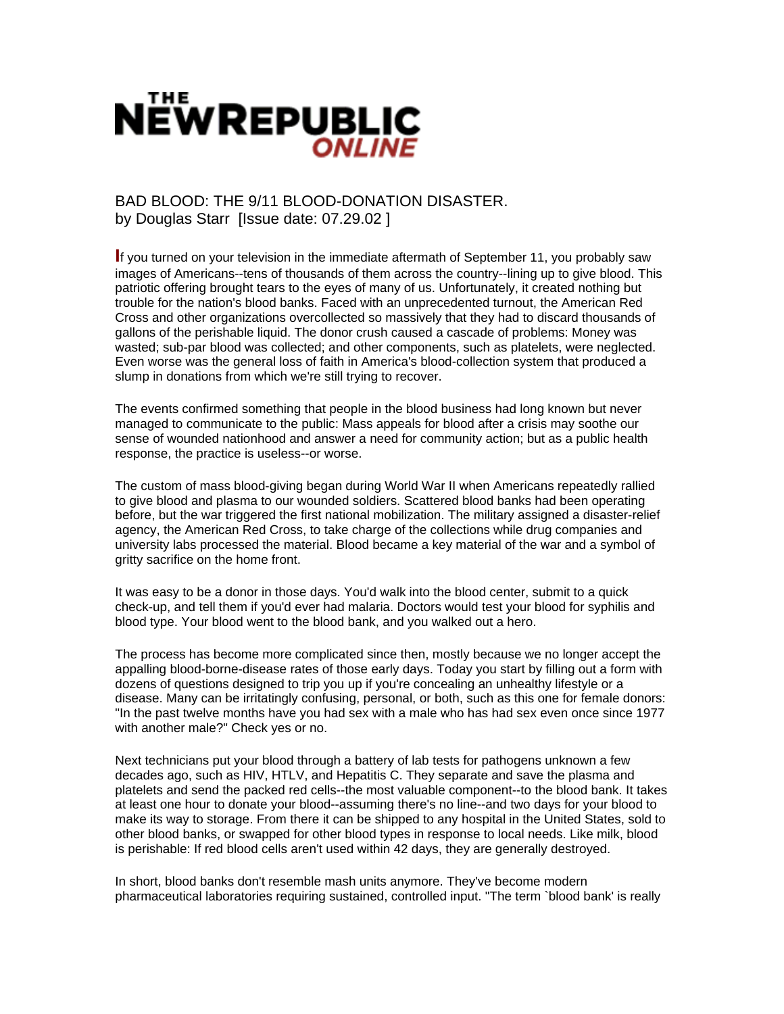

## BAD BLOOD: THE 9/11 BLOOD-DONATION DISASTER. by Douglas Starr [Issue date: 07.29.02 ]

**I**f you turned on your television in the immediate aftermath of September 11, you probably saw images of Americans--tens of thousands of them across the country--lining up to give blood. This patriotic offering brought tears to the eyes of many of us. Unfortunately, it created nothing but trouble for the nation's blood banks. Faced with an unprecedented turnout, the American Red Cross and other organizations overcollected so massively that they had to discard thousands of gallons of the perishable liquid. The donor crush caused a cascade of problems: Money was wasted; sub-par blood was collected; and other components, such as platelets, were neglected. Even worse was the general loss of faith in America's blood-collection system that produced a slump in donations from which we're still trying to recover.

The events confirmed something that people in the blood business had long known but never managed to communicate to the public: Mass appeals for blood after a crisis may soothe our sense of wounded nationhood and answer a need for community action; but as a public health response, the practice is useless--or worse.

The custom of mass blood-giving began during World War II when Americans repeatedly rallied to give blood and plasma to our wounded soldiers. Scattered blood banks had been operating before, but the war triggered the first national mobilization. The military assigned a disaster-relief agency, the American Red Cross, to take charge of the collections while drug companies and university labs processed the material. Blood became a key material of the war and a symbol of gritty sacrifice on the home front.

It was easy to be a donor in those days. You'd walk into the blood center, submit to a quick check-up, and tell them if you'd ever had malaria. Doctors would test your blood for syphilis and blood type. Your blood went to the blood bank, and you walked out a hero.

The process has become more complicated since then, mostly because we no longer accept the appalling blood-borne-disease rates of those early days. Today you start by filling out a form with dozens of questions designed to trip you up if you're concealing an unhealthy lifestyle or a disease. Many can be irritatingly confusing, personal, or both, such as this one for female donors: "In the past twelve months have you had sex with a male who has had sex even once since 1977 with another male?" Check yes or no.

Next technicians put your blood through a battery of lab tests for pathogens unknown a few decades ago, such as HIV, HTLV, and Hepatitis C. They separate and save the plasma and platelets and send the packed red cells--the most valuable component--to the blood bank. It takes at least one hour to donate your blood--assuming there's no line--and two days for your blood to make its way to storage. From there it can be shipped to any hospital in the United States, sold to other blood banks, or swapped for other blood types in response to local needs. Like milk, blood is perishable: If red blood cells aren't used within 42 days, they are generally destroyed.

In short, blood banks don't resemble mash units anymore. They've become modern pharmaceutical laboratories requiring sustained, controlled input. "The term `blood bank' is really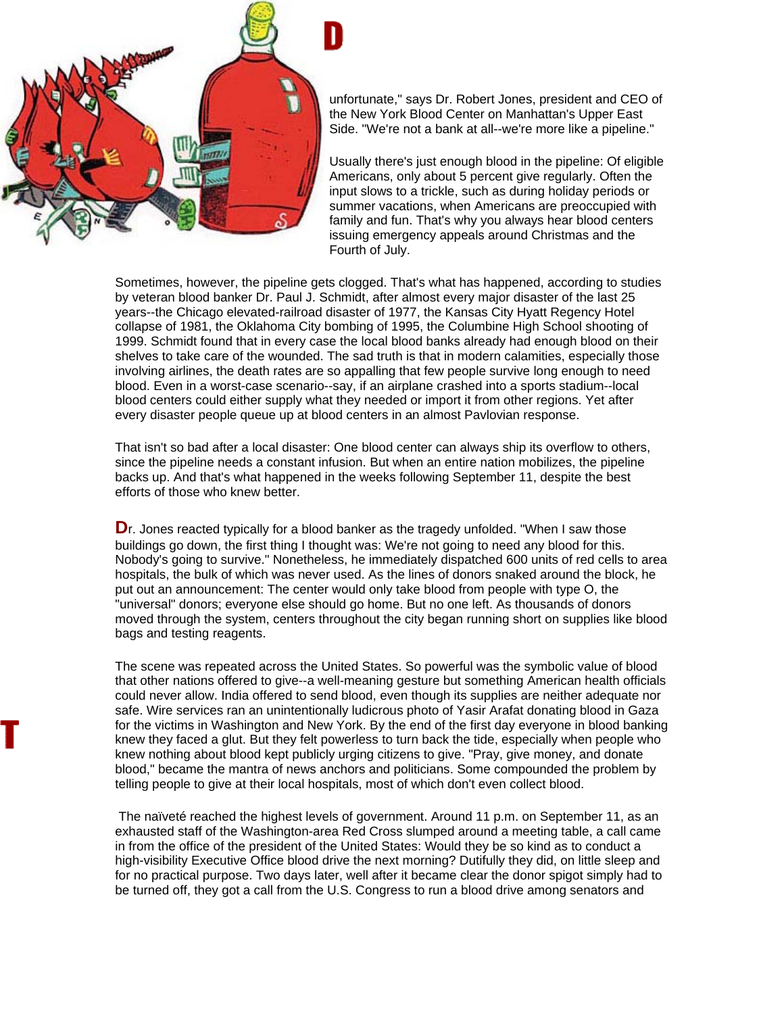

unfortunate," says Dr. Robert Jones, president and CEO of the New York Blood Center on Manhattan's Upper East Side. "We're not a bank at all--we're more like a pipeline."

Usually there's just enough blood in the pipeline: Of eligible Americans, only about 5 percent give regularly. Often the input slows to a trickle, such as during holiday periods or summer vacations, when Americans are preoccupied with family and fun. That's why you always hear blood centers issuing emergency appeals around Christmas and the Fourth of July.

Sometimes, however, the pipeline gets clogged. That's what has happened, according to studies by veteran blood banker Dr. Paul J. Schmidt, after almost every major disaster of the last 25 years--the Chicago elevated-railroad disaster of 1977, the Kansas City Hyatt Regency Hotel collapse of 1981, the Oklahoma City bombing of 1995, the Columbine High School shooting of 1999. Schmidt found that in every case the local blood banks already had enough blood on their shelves to take care of the wounded. The sad truth is that in modern calamities, especially those involving airlines, the death rates are so appalling that few people survive long enough to need blood. Even in a worst-case scenario--say, if an airplane crashed into a sports stadium--local blood centers could either supply what they needed or import it from other regions. Yet after every disaster people queue up at blood centers in an almost Pavlovian response.

That isn't so bad after a local disaster: One blood center can always ship its overflow to others, since the pipeline needs a constant infusion. But when an entire nation mobilizes, the pipeline backs up. And that's what happened in the weeks following September 11, despite the best efforts of those who knew better.

**D**r. Jones reacted typically for a blood banker as the tragedy unfolded. "When I saw those buildings go down, the first thing I thought was: We're not going to need any blood for this. Nobody's going to survive." Nonetheless, he immediately dispatched 600 units of red cells to area hospitals, the bulk of which was never used. As the lines of donors snaked around the block, he put out an announcement: The center would only take blood from people with type O, the "universal" donors; everyone else should go home. But no one left. As thousands of donors moved through the system, centers throughout the city began running short on supplies like blood bags and testing reagents.

The scene was repeated across the United States. So powerful was the symbolic value of blood that other nations offered to give--a well-meaning gesture but something American health officials could never allow. India offered to send blood, even though its supplies are neither adequate nor safe. Wire services ran an unintentionally ludicrous photo of Yasir Arafat donating blood in Gaza for the victims in Washington and New York. By the end of the first day everyone in blood banking knew they faced a glut. But they felt powerless to turn back the tide, especially when people who knew nothing about blood kept publicly urging citizens to give. "Pray, give money, and donate blood," became the mantra of news anchors and politicians. Some compounded the problem by telling people to give at their local hospitals, most of which don't even collect blood.

 The naïveté reached the highest levels of government. Around 11 p.m. on September 11, as an exhausted staff of the Washington-area Red Cross slumped around a meeting table, a call came in from the office of the president of the United States: Would they be so kind as to conduct a high-visibility Executive Office blood drive the next morning? Dutifully they did, on little sleep and for no practical purpose. Two days later, well after it became clear the donor spigot simply had to be turned off, they got a call from the U.S. Congress to run a blood drive among senators and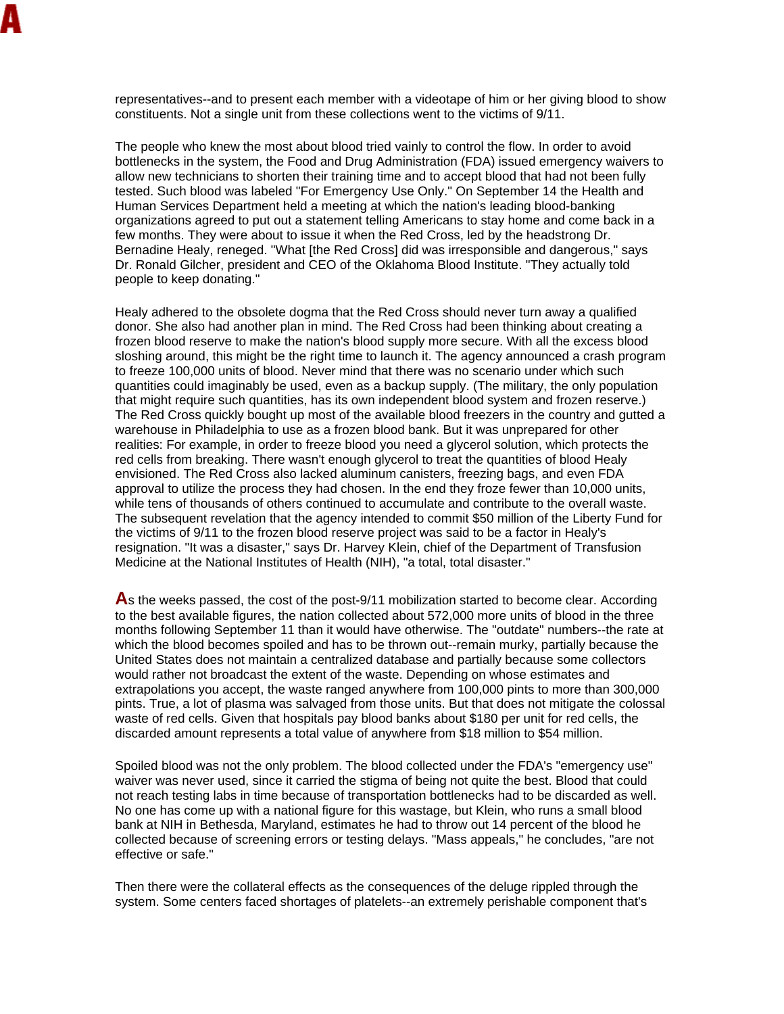representatives--and to present each member with a videotape of him or her giving blood to show constituents. Not a single unit from these collections went to the victims of 9/11.

The people who knew the most about blood tried vainly to control the flow. In order to avoid bottlenecks in the system, the Food and Drug Administration (FDA) issued emergency waivers to allow new technicians to shorten their training time and to accept blood that had not been fully tested. Such blood was labeled "For Emergency Use Only." On September 14 the Health and Human Services Department held a meeting at which the nation's leading blood-banking organizations agreed to put out a statement telling Americans to stay home and come back in a few months. They were about to issue it when the Red Cross, led by the headstrong Dr. Bernadine Healy, reneged. "What [the Red Cross] did was irresponsible and dangerous," says Dr. Ronald Gilcher, president and CEO of the Oklahoma Blood Institute. "They actually told people to keep donating."

Healy adhered to the obsolete dogma that the Red Cross should never turn away a qualified donor. She also had another plan in mind. The Red Cross had been thinking about creating a frozen blood reserve to make the nation's blood supply more secure. With all the excess blood sloshing around, this might be the right time to launch it. The agency announced a crash program to freeze 100,000 units of blood. Never mind that there was no scenario under which such quantities could imaginably be used, even as a backup supply. (The military, the only population that might require such quantities, has its own independent blood system and frozen reserve.) The Red Cross quickly bought up most of the available blood freezers in the country and gutted a warehouse in Philadelphia to use as a frozen blood bank. But it was unprepared for other realities: For example, in order to freeze blood you need a glycerol solution, which protects the red cells from breaking. There wasn't enough glycerol to treat the quantities of blood Healy envisioned. The Red Cross also lacked aluminum canisters, freezing bags, and even FDA approval to utilize the process they had chosen. In the end they froze fewer than 10,000 units, while tens of thousands of others continued to accumulate and contribute to the overall waste. The subsequent revelation that the agency intended to commit \$50 million of the Liberty Fund for the victims of 9/11 to the frozen blood reserve project was said to be a factor in Healy's resignation. "It was a disaster," says Dr. Harvey Klein, chief of the Department of Transfusion Medicine at the National Institutes of Health (NIH), "a total, total disaster."

**A**s the weeks passed, the cost of the post-9/11 mobilization started to become clear. According to the best available figures, the nation collected about 572,000 more units of blood in the three months following September 11 than it would have otherwise. The "outdate" numbers--the rate at which the blood becomes spoiled and has to be thrown out--remain murky, partially because the United States does not maintain a centralized database and partially because some collectors would rather not broadcast the extent of the waste. Depending on whose estimates and extrapolations you accept, the waste ranged anywhere from 100,000 pints to more than 300,000 pints. True, a lot of plasma was salvaged from those units. But that does not mitigate the colossal waste of red cells. Given that hospitals pay blood banks about \$180 per unit for red cells, the discarded amount represents a total value of anywhere from \$18 million to \$54 million.

Spoiled blood was not the only problem. The blood collected under the FDA's "emergency use" waiver was never used, since it carried the stigma of being not quite the best. Blood that could not reach testing labs in time because of transportation bottlenecks had to be discarded as well. No one has come up with a national figure for this wastage, but Klein, who runs a small blood bank at NIH in Bethesda, Maryland, estimates he had to throw out 14 percent of the blood he collected because of screening errors or testing delays. "Mass appeals," he concludes, "are not effective or safe."

Then there were the collateral effects as the consequences of the deluge rippled through the system. Some centers faced shortages of platelets--an extremely perishable component that's